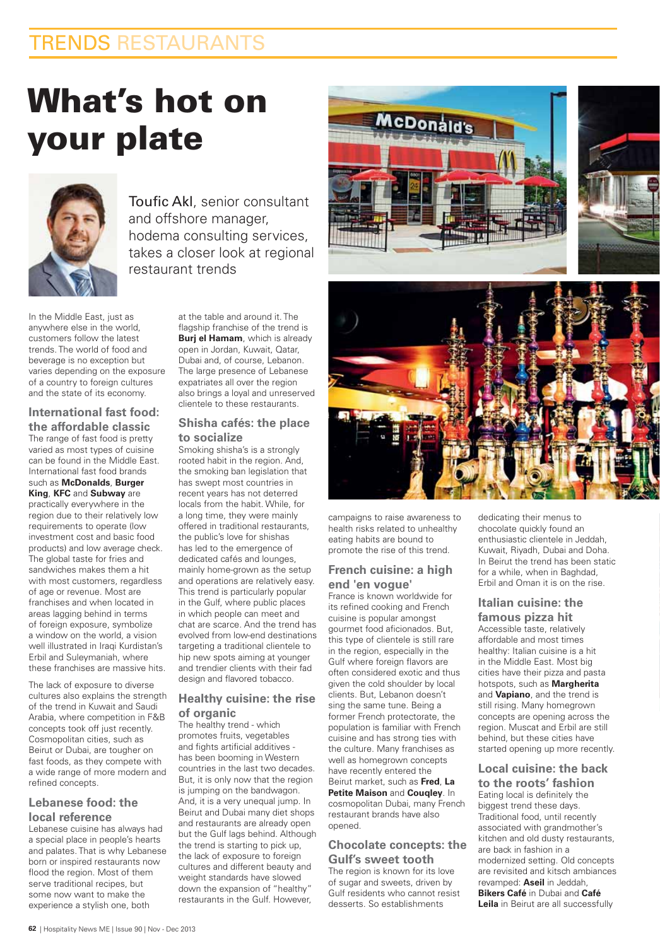# TRENDS RESTAURANTS

# **What's hot on your plate**



Toufic Akl, senior consultant and offshore manager, hodema consulting services, takes a closer look at regional restaurant trends

In the Middle East, just as anywhere else in the world, customers follow the latest trends. The world of food and beverage is no exception but varies depending on the exposure of a country to foreign cultures and the state of its economy.

#### **International fast food: the affordable classic** The range of fast food is pretty

varied as most types of cuisine can be found in the Middle East. International fast food brands such as **McDonalds**, **Burger King, KFC** and **Subway** are

practically everywhere in the region due to their relatively low requirements to operate (low investment cost and basic food products) and low average check. The global taste for fries and sandwiches makes them a hit with most customers, regardless of age or revenue. Most are franchises and when located in areas lagging behind in terms of foreign exposure, symbolize a window on the world, a vision well illustrated in Iraqi Kurdistan's Erbil and Suleymaniah, where these franchises are massive hits.

The lack of exposure to diverse cultures also explains the strength of the trend in Kuwait and Saudi Arabia, where competition in F&B concepts took off just recently. Cosmopolitan cities, such as Beirut or Dubai, are tougher on fast foods, as they compete with a wide range of more modern and refined concepts.

### **Lebanese food: the local reference**

Lebanese cuisine has always had a special place in people's hearts and palates. That is why Lebanese born or inspired restaurants now flood the region. Most of them serve traditional recipes, but some now want to make the experience a stylish one, both

at the table and around it. The flagship franchise of the trend is **Burj el Hamam**, which is already open in Jordan, Kuwait, Qatar, Dubai and, of course, Lebanon. The large presence of Lebanese expatriates all over the region also brings a loyal and unreserved clientele to these restaurants.

#### **Shisha cafés: the place to socialize**

Smoking shisha's is a strongly rooted habit in the region. And, the smoking ban legislation that has swept most countries in recent years has not deterred locals from the habit. While, for a long time, they were mainly offered in traditional restaurants, the public's love for shishas has led to the emergence of dedicated cafés and lounges. mainly home-grown as the setup and operations are relatively easy. This trend is particularly popular in the Gulf, where public places in which people can meet and chat are scarce. And the trend has evolved from low-end destinations targeting a traditional clientele to hip new spots aiming at younger and trendier clients with their fad design and flavored tobacco.

#### **Healthy cuisine: the rise of organic**

The healthy trend - which promotes fruits, vegetables and fights artificial additives has been booming in Western countries in the last two decades. But, it is only now that the region is jumping on the bandwagon. And, it is a very unequal jump. In Beirut and Dubai many diet shops and restaurants are already open but the Gulf lags behind. Although the trend is starting to pick up, the lack of exposure to foreign cultures and different beauty and weight standards have slowed down the expansion of "healthy" restaurants in the Gulf. However.





campaigns to raise awareness to health risks related to unhealthy eating habits are bound to promote the rise of this trend.

#### **French cuisine: a high end 'en vogue'**

France is known worldwide for its refined cooking and French cuisine is popular amongst gourmet food aficionados. But, this type of clientele is still rare in the region, especially in the Gulf where foreign flavors are often considered exotic and thus given the cold shoulder by local clients. But, Lebanon doesn't sing the same tune. Being a former French protectorate, the population is familiar with French cuisine and has strong ties with the culture. Many franchises as well as homegrown concepts have recently entered the Beirut market, such as **Fred**, La **Petite Maison and Cougley.** In cosmopolitan Dubai, many French restaurant brands have also opened.

#### **Chocolate concepts: the Gulf's sweet tooth**

The region is known for its love of sugar and sweets, driven by Gulf residents who cannot resist desserts. So establishments

dedicating their menus to chocolate quickly found an enthusiastic clientele in Jeddah, Kuwait, Riyadh, Dubai and Doha. In Beirut the trend has been static for a while, when in Baghdad, Erbil and Oman it is on the rise.

# **Italian cuisine: the**

**famous pizza hit** Accessible taste, relatively affordable and most times healthy: Italian cuisine is a hit in the Middle East. Most big cities have their pizza and pasta hotspots, such as **Margherita** and **Vapiano**, and the trend is still rising. Many homegrown concepts are opening across the region. Muscat and Erbil are still behind, but these cities have started opening up more recently.

# **Local cuisine: the back**

**to the roots' fashion** Eating local is definitely the biggest trend these days. Traditional food, until recently associated with grandmother's kitchen and old dusty restaurants, are back in fashion in a modernized setting. Old concepts are revisited and kitsch ambiances revamped: Aseil in Jeddah, **Bikers Café** in Dubai and **Café** Leila in Beirut are all successfully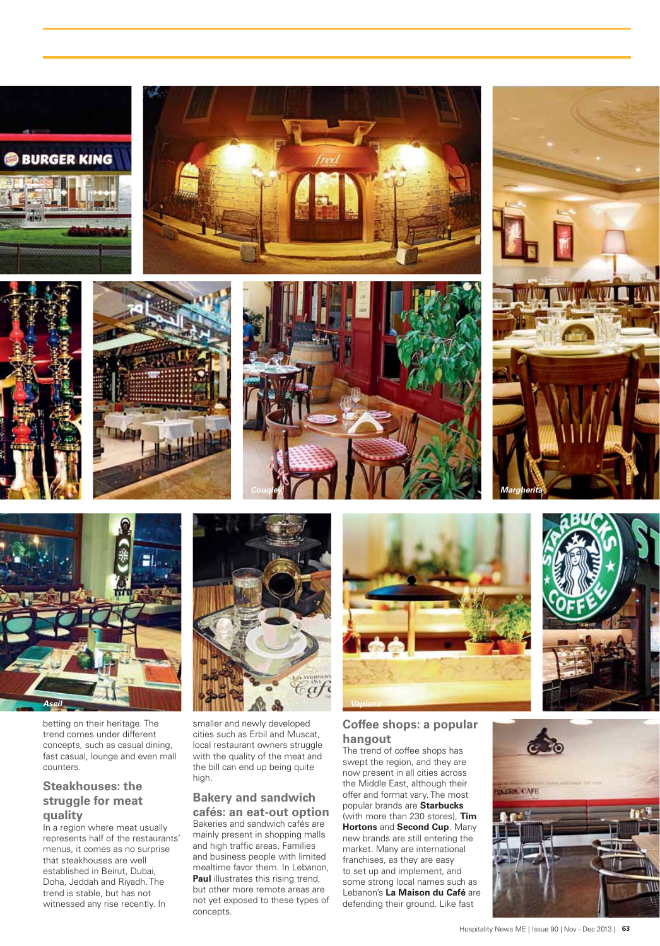







betting on their heritage. The trend comes under different concepts, such as casual dining, fast casual, lounge and even mall counters.

## **Steakhouses: the** struggle for meat quality

In a region where meat usually represents half of the restaurants' menus, it comes as no surprise that steakhouses are well established in Beirut, Dubai, Doha, Jeddah and Riyadh. The trend is stable, but has not witnessed any rise recently. In



smaller and newly developed cities such as Erbil and Muscat, local restaurant owners struggle with the quality of the meat and the bill can end up being quite high.

#### **Bakery and sandwich** cafés: an eat-out option

Bakeries and sandwich cafés are mainly present in shopping malls and high traffic areas. Families and business people with limited mealtime favor them. In Lebanon, Paul illustrates this rising trend, but other more remote areas are not yet exposed to these types of concepts.





The trend of coffee shops has swept the region, and they are now present in all cities across the Middle East, although their offer and format vary. The most popular brands are **Starbucks** (with more than 230 stores), Tim Hortons and Second Cup. Many new brands are still entering the market. Many are international franchises, as they are easy to set up and implement, and some strong local names such as Lebanon's La Maison du Café are defending their ground. Like fast